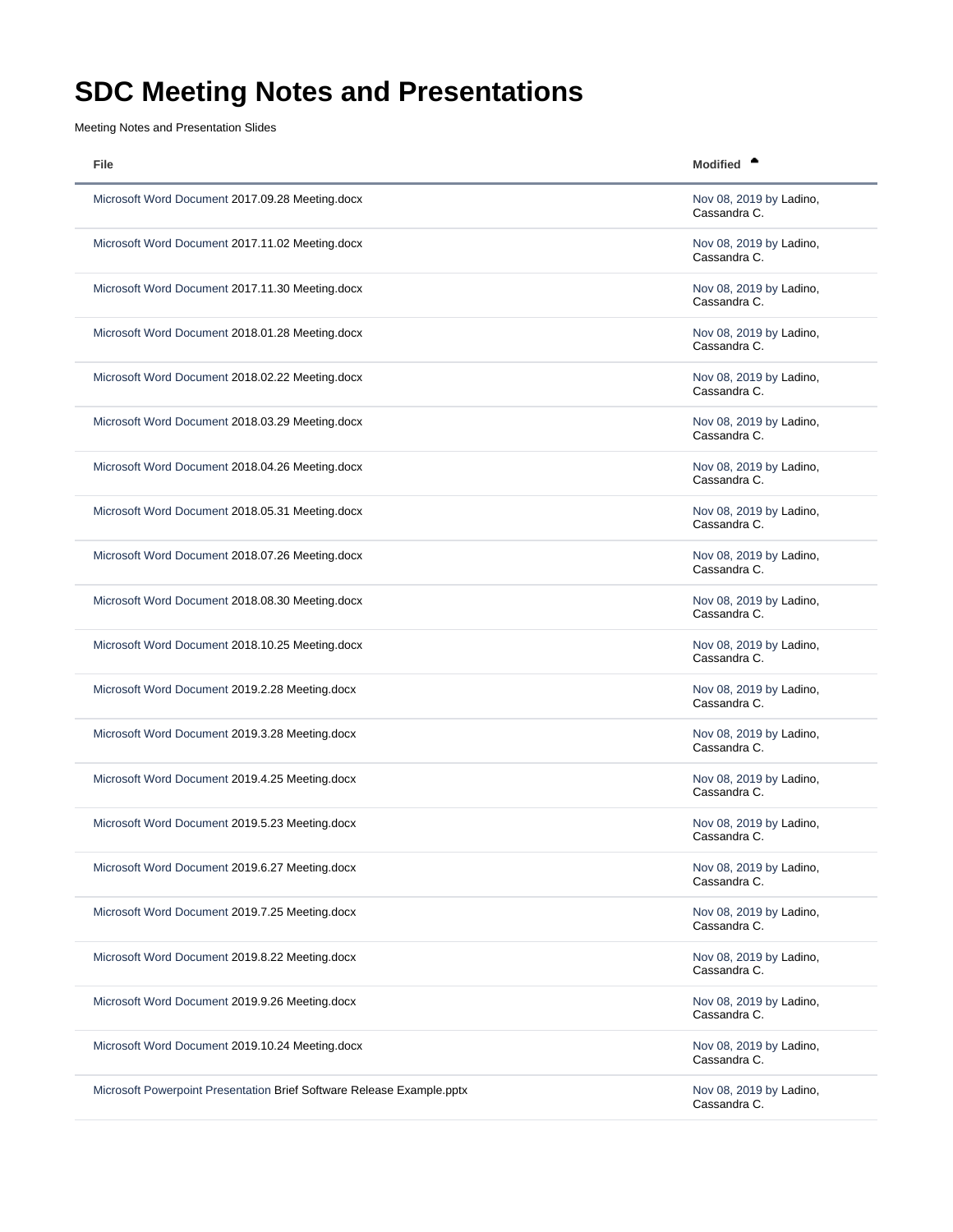## <span id="page-0-0"></span>**SDC Meeting Notes and Presentations**

Meeting Notes and Presentation Slides

| File                                                                  | <b>Modified</b>                         |
|-----------------------------------------------------------------------|-----------------------------------------|
| Microsoft Word Document 2017.09.28 Meeting.docx                       | Nov 08, 2019 by Ladino,<br>Cassandra C. |
| Microsoft Word Document 2017.11.02 Meeting.docx                       | Nov 08, 2019 by Ladino,<br>Cassandra C. |
| Microsoft Word Document 2017.11.30 Meeting.docx                       | Nov 08, 2019 by Ladino,<br>Cassandra C. |
| Microsoft Word Document 2018.01.28 Meeting.docx                       | Nov 08, 2019 by Ladino,<br>Cassandra C. |
| Microsoft Word Document 2018.02.22 Meeting.docx                       | Nov 08, 2019 by Ladino,<br>Cassandra C. |
| Microsoft Word Document 2018.03.29 Meeting.docx                       | Nov 08, 2019 by Ladino,<br>Cassandra C. |
| Microsoft Word Document 2018.04.26 Meeting.docx                       | Nov 08, 2019 by Ladino,<br>Cassandra C. |
| Microsoft Word Document 2018.05.31 Meeting.docx                       | Nov 08, 2019 by Ladino,<br>Cassandra C. |
| Microsoft Word Document 2018.07.26 Meeting.docx                       | Nov 08, 2019 by Ladino,<br>Cassandra C. |
| Microsoft Word Document 2018.08.30 Meeting.docx                       | Nov 08, 2019 by Ladino,<br>Cassandra C. |
| Microsoft Word Document 2018.10.25 Meeting.docx                       | Nov 08, 2019 by Ladino,<br>Cassandra C. |
| Microsoft Word Document 2019.2.28 Meeting.docx                        | Nov 08, 2019 by Ladino,<br>Cassandra C. |
| Microsoft Word Document 2019.3.28 Meeting.docx                        | Nov 08, 2019 by Ladino,<br>Cassandra C. |
| Microsoft Word Document 2019.4.25 Meeting.docx                        | Nov 08, 2019 by Ladino,<br>Cassandra C. |
| Microsoft Word Document 2019.5.23 Meeting.docx                        | Nov 08, 2019 by Ladino,<br>Cassandra C. |
| Microsoft Word Document 2019.6.27 Meeting.docx                        | Nov 08, 2019 by Ladino,<br>Cassandra C. |
| Microsoft Word Document 2019.7.25 Meeting.docx                        | Nov 08, 2019 by Ladino,<br>Cassandra C. |
| Microsoft Word Document 2019.8.22 Meeting.docx                        | Nov 08, 2019 by Ladino,<br>Cassandra C. |
| Microsoft Word Document 2019.9.26 Meeting.docx                        | Nov 08, 2019 by Ladino,<br>Cassandra C. |
| Microsoft Word Document 2019.10.24 Meeting.docx                       | Nov 08, 2019 by Ladino,<br>Cassandra C. |
| Microsoft Powerpoint Presentation Brief Software Release Example.pptx | Nov 08, 2019 by Ladino,<br>Cassandra C. |